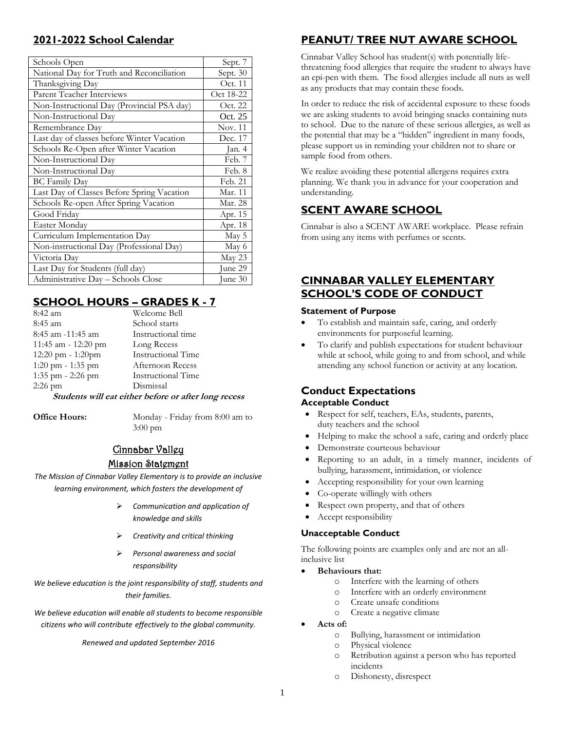## **2021-2022 School Calendar**

| Schools Open                               | Sept. 7        |  |  |
|--------------------------------------------|----------------|--|--|
| National Day for Truth and Reconciliation  | Sept. 30       |  |  |
| Thanksgiving Day                           | Oct. 11        |  |  |
| Parent Teacher Interviews                  | Oct 18-22      |  |  |
| Non-Instructional Day (Provincial PSA day) | Oct. 22        |  |  |
| Non-Instructional Day                      | Oct. 25        |  |  |
| Remembrance Day                            | <b>Nov. 11</b> |  |  |
| Last day of classes before Winter Vacation | Dec. 17        |  |  |
| Schools Re-Open after Winter Vacation      | Jan. 4         |  |  |
| Non-Instructional Day                      | Feb. 7         |  |  |
| Non-Instructional Day                      | Feb. 8         |  |  |
| <b>BC</b> Family Day                       | Feb. 21        |  |  |
| Last Day of Classes Before Spring Vacation | Mar. 11        |  |  |
| Schools Re-open After Spring Vacation      | Mar. 28        |  |  |
| Good Friday                                | Apr. 15        |  |  |
| Easter Monday                              | Apr. 18        |  |  |
| Curriculum Implementation Day              | May 5          |  |  |
| Non-instructional Day (Professional Day)   | May 6          |  |  |
| Victoria Day                               | May 23         |  |  |
| Last Day for Students (full day)           | June 29        |  |  |
| Administrative Day – Schools Close         | June 30        |  |  |

# **SCHOOL HOURS – GRADES K - 7**

| 8:42 am                                              | Welcome Bell       |  |  |  |  |  |  |
|------------------------------------------------------|--------------------|--|--|--|--|--|--|
| 8:45 am                                              | School starts      |  |  |  |  |  |  |
| 8:45 am -11:45 am                                    | Instructional time |  |  |  |  |  |  |
| 11:45 am - 12:20 pm                                  | Long Recess        |  |  |  |  |  |  |
| 12:20 pm - 1:20pm                                    | Instructional Time |  |  |  |  |  |  |
| 1:20 pm - 1:35 pm                                    | Afternoon Recess   |  |  |  |  |  |  |
| 1:35 pm - 2:26 pm                                    | Instructional Time |  |  |  |  |  |  |
| $2:26$ pm                                            | Dismissal          |  |  |  |  |  |  |
| Students will eat either before or after long recess |                    |  |  |  |  |  |  |

**Office Hours:** Monday - Friday from 8:00 am to 3:00 pm

# Cinnabar Valley Mission Statement

*The Mission of Cinnabar Valley Elementary is to provide an inclusive learning environment, which fosters the development of*

- ➢ *Communication and application of knowledge and skills*
- ➢ *Creativity and critical thinking*
- ➢ *Personal awareness and social responsibility*

*We believe education is the joint responsibility of staff, students and their families.*

*We believe education will enable all students to become responsible citizens who will contribute effectively to the global community.*

*Renewed and updated September 2016*

# **PEANUT/ TREE NUT AWARE SCHOOL**

Cinnabar Valley School has student(s) with potentially lifethreatening food allergies that require the student to always have an epi-pen with them. The food allergies include all nuts as well as any products that may contain these foods.

In order to reduce the risk of accidental exposure to these foods we are asking students to avoid bringing snacks containing nuts to school. Due to the nature of these serious allergies, as well as the potential that may be a "hidden" ingredient in many foods, please support us in reminding your children not to share or sample food from others.

We realize avoiding these potential allergens requires extra planning. We thank you in advance for your cooperation and understanding.

# **SCENT AWARE SCHOOL**

Cinnabar is also a SCENT AWARE workplace. Please refrain from using any items with perfumes or scents.

### **CINNABAR VALLEY ELEMENTARY SCHOOL'S CODE OF CONDUCT**

#### **Statement of Purpose**

- To establish and maintain safe, caring, and orderly environments for purposeful learning.
- To clarify and publish expectations for student behaviour while at school, while going to and from school, and while attending any school function or activity at any location.

#### **Conduct Expectations Acceptable Conduct**

- Respect for self, teachers, EAs, students, parents, duty teachers and the school
- Helping to make the school a safe, caring and orderly place
- Demonstrate courteous behaviour
- Reporting to an adult, in a timely manner, incidents of bullying, harassment, intimidation, or violence
- Accepting responsibility for your own learning
- Co-operate willingly with others
- Respect own property, and that of others
- Accept responsibility

#### **Unacceptable Conduct**

The following points are examples only and are not an allinclusive list

- **Behaviours that:**
	- o Interfere with the learning of others
	- o Interfere with an orderly environment
	- o Create unsafe conditions
	- o Create a negative climate
- **Acts of:**
	- o Bullying, harassment or intimidation
	- o Physical violence
	- o Retribution against a person who has reported incidents
	- o Dishonesty, disrespect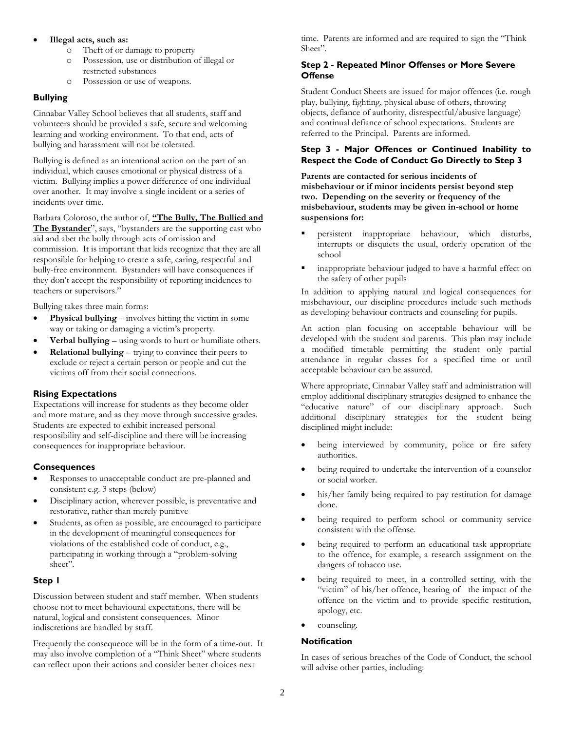#### • **Illegal acts, such as:**

- o Theft of or damage to property
- o Possession, use or distribution of illegal or restricted substances
- o Possession or use of weapons.

#### **Bullying**

Cinnabar Valley School believes that all students, staff and volunteers should be provided a safe, secure and welcoming learning and working environment. To that end, acts of bullying and harassment will not be tolerated.

Bullying is defined as an intentional action on the part of an individual, which causes emotional or physical distress of a victim. Bullying implies a power difference of one individual over another. It may involve a single incident or a series of incidents over time.

Barbara Coloroso, the author of, **"The Bully, The Bullied and The Bystander**", says, "bystanders are the supporting cast who aid and abet the bully through acts of omission and commission. It is important that kids recognize that they are all responsible for helping to create a safe, caring, respectful and bully-free environment. Bystanders will have consequences if they don't accept the responsibility of reporting incidences to teachers or supervisors."

Bullying takes three main forms:

- **Physical bullying** involves hitting the victim in some way or taking or damaging a victim's property.
- **Verbal bullying** using words to hurt or humiliate others.
- **Relational bullying** trying to convince their peers to exclude or reject a certain person or people and cut the victims off from their social connections.

#### **Rising Expectations**

Expectations will increase for students as they become older and more mature, and as they move through successive grades. Students are expected to exhibit increased personal responsibility and self-discipline and there will be increasing consequences for inappropriate behaviour.

#### **Consequences**

- Responses to unacceptable conduct are pre-planned and consistent e.g. 3 steps (below)
- Disciplinary action, wherever possible, is preventative and restorative, rather than merely punitive
- Students, as often as possible, are encouraged to participate in the development of meaningful consequences for violations of the established code of conduct, e.g., participating in working through a "problem-solving sheet".

#### **Step 1**

Discussion between student and staff member. When students choose not to meet behavioural expectations, there will be natural, logical and consistent consequences. Minor indiscretions are handled by staff.

Frequently the consequence will be in the form of a time-out. It may also involve completion of a "Think Sheet" where students can reflect upon their actions and consider better choices next

time. Parents are informed and are required to sign the "Think Sheet".

#### **Step 2 - Repeated Minor Offenses or More Severe Offense**

Student Conduct Sheets are issued for major offences (i.e. rough play, bullying, fighting, physical abuse of others, throwing objects, defiance of authority, disrespectful/abusive language) and continual defiance of school expectations. Students are referred to the Principal. Parents are informed.

#### **Step 3 - Major Offences or Continued Inability to Respect the Code of Conduct Go Directly to Step 3**

**Parents are contacted for serious incidents of misbehaviour or if minor incidents persist beyond step two. Depending on the severity or frequency of the misbehaviour, students may be given in-school or home suspensions for:**

- persistent inappropriate behaviour, which disturbs, interrupts or disquiets the usual, orderly operation of the school
- inappropriate behaviour judged to have a harmful effect on the safety of other pupils

In addition to applying natural and logical consequences for misbehaviour, our discipline procedures include such methods as developing behaviour contracts and counseling for pupils.

An action plan focusing on acceptable behaviour will be developed with the student and parents. This plan may include a modified timetable permitting the student only partial attendance in regular classes for a specified time or until acceptable behaviour can be assured.

Where appropriate, Cinnabar Valley staff and administration will employ additional disciplinary strategies designed to enhance the "educative nature" of our disciplinary approach. Such additional disciplinary strategies for the student being disciplined might include:

- being interviewed by community, police or fire safety authorities.
- being required to undertake the intervention of a counselor or social worker.
- his/her family being required to pay restitution for damage done.
- being required to perform school or community service consistent with the offense.
- being required to perform an educational task appropriate to the offence, for example, a research assignment on the dangers of tobacco use.
- being required to meet, in a controlled setting, with the "victim" of his/her offence, hearing of the impact of the offence on the victim and to provide specific restitution, apology, etc.
- counseling.

#### **Notification**

In cases of serious breaches of the Code of Conduct, the school will advise other parties, including: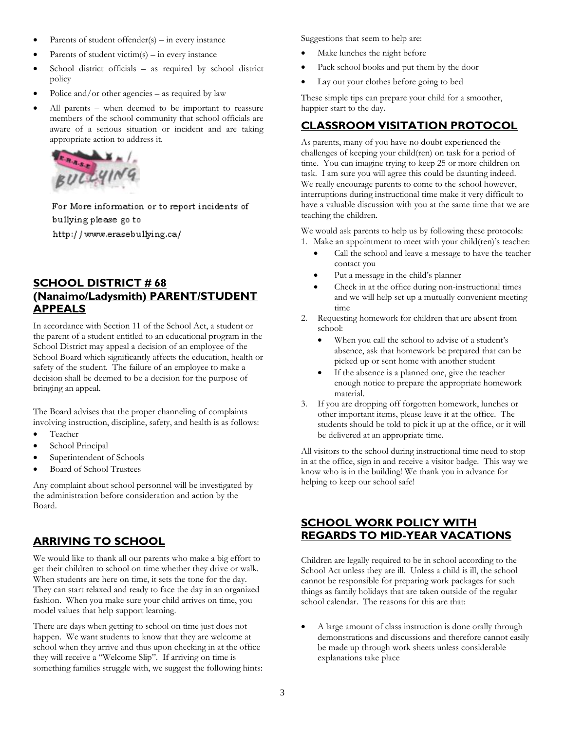- Parents of student offender $(s)$  in every instance
- Parents of student victim(s) in every instance
- School district officials as required by school district policy
- Police and/or other agencies  $-$  as required by law
- All parents when deemed to be important to reassure members of the school community that school officials are aware of a serious situation or incident and are taking appropriate action to address it.



For More information or to report incidents of bullying please go to http://www.erasebullying.ca/

# **SCHOOL DISTRICT # 68 (Nanaimo/Ladysmith) PARENT/STUDENT APPEALS**

In accordance with Section 11 of the School Act, a student or the parent of a student entitled to an educational program in the School District may appeal a decision of an employee of the School Board which significantly affects the education, health or safety of the student. The failure of an employee to make a decision shall be deemed to be a decision for the purpose of bringing an appeal.

The Board advises that the proper channeling of complaints involving instruction, discipline, safety, and health is as follows:

- Teacher
- School Principal
- Superintendent of Schools
- Board of School Trustees

Any complaint about school personnel will be investigated by the administration before consideration and action by the Board.

### **ARRIVING TO SCHOOL**

We would like to thank all our parents who make a big effort to get their children to school on time whether they drive or walk. When students are here on time, it sets the tone for the day. They can start relaxed and ready to face the day in an organized fashion. When you make sure your child arrives on time, you model values that help support learning.

There are days when getting to school on time just does not happen. We want students to know that they are welcome at school when they arrive and thus upon checking in at the office they will receive a "Welcome Slip". If arriving on time is something families struggle with, we suggest the following hints: Suggestions that seem to help are:

- Make lunches the night before
- Pack school books and put them by the door
- Lay out your clothes before going to bed

These simple tips can prepare your child for a smoother, happier start to the day.

# **CLASSROOM VISITATION PROTOCOL**

As parents, many of you have no doubt experienced the challenges of keeping your child(ren) on task for a period of time. You can imagine trying to keep 25 or more children on task. I am sure you will agree this could be daunting indeed. We really encourage parents to come to the school however, interruptions during instructional time make it very difficult to have a valuable discussion with you at the same time that we are teaching the children.

We would ask parents to help us by following these protocols: 1. Make an appointment to meet with your child(ren)'s teacher:

- Call the school and leave a message to have the teacher contact you
- Put a message in the child's planner
- Check in at the office during non-instructional times and we will help set up a mutually convenient meeting time
- 2. Requesting homework for children that are absent from school:
	- When you call the school to advise of a student's absence, ask that homework be prepared that can be picked up or sent home with another student
	- If the absence is a planned one, give the teacher enough notice to prepare the appropriate homework material.
- 3. If you are dropping off forgotten homework, lunches or other important items, please leave it at the office. The students should be told to pick it up at the office, or it will be delivered at an appropriate time.

All visitors to the school during instructional time need to stop in at the office, sign in and receive a visitor badge. This way we know who is in the building! We thank you in advance for helping to keep our school safe!

### **SCHOOL WORK POLICY WITH REGARDS TO MID-YEAR VACATIONS**

Children are legally required to be in school according to the School Act unless they are ill. Unless a child is ill, the school cannot be responsible for preparing work packages for such things as family holidays that are taken outside of the regular school calendar. The reasons for this are that:

• A large amount of class instruction is done orally through demonstrations and discussions and therefore cannot easily be made up through work sheets unless considerable explanations take place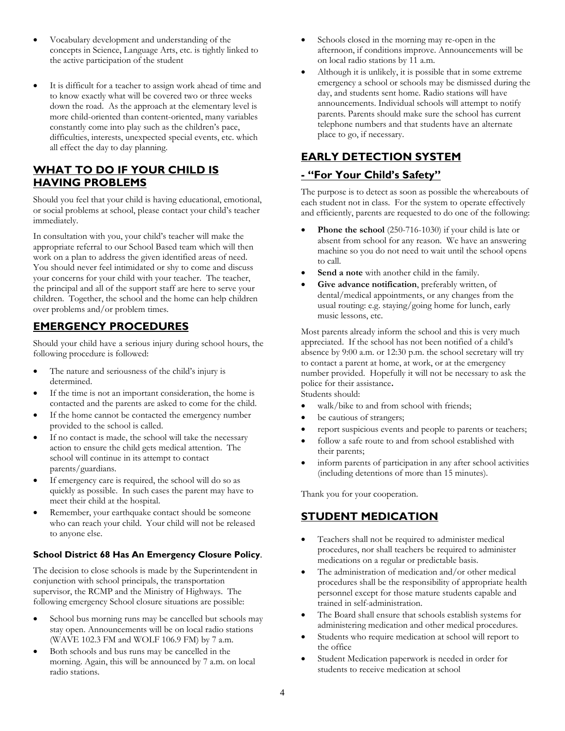- Vocabulary development and understanding of the concepts in Science, Language Arts, etc. is tightly linked to the active participation of the student
- It is difficult for a teacher to assign work ahead of time and to know exactly what will be covered two or three weeks down the road. As the approach at the elementary level is more child-oriented than content-oriented, many variables constantly come into play such as the children's pace, difficulties, interests, unexpected special events, etc. which all effect the day to day planning.

### **WHAT TO DO IF YOUR CHILD IS HAVING PROBLEMS**

Should you feel that your child is having educational, emotional, or social problems at school, please contact your child's teacher immediately.

In consultation with you, your child's teacher will make the appropriate referral to our School Based team which will then work on a plan to address the given identified areas of need. You should never feel intimidated or shy to come and discuss your concerns for your child with your teacher. The teacher, the principal and all of the support staff are here to serve your children. Together, the school and the home can help children over problems and/or problem times.

### **EMERGENCY PROCEDURES**

Should your child have a serious injury during school hours, the following procedure is followed:

- The nature and seriousness of the child's injury is determined.
- If the time is not an important consideration, the home is contacted and the parents are asked to come for the child.
- If the home cannot be contacted the emergency number provided to the school is called.
- If no contact is made, the school will take the necessary action to ensure the child gets medical attention. The school will continue in its attempt to contact parents/guardians.
- If emergency care is required, the school will do so as quickly as possible. In such cases the parent may have to meet their child at the hospital.
- Remember, your earthquake contact should be someone who can reach your child. Your child will not be released to anyone else.

#### **School District 68 Has An Emergency Closure Policy**.

The decision to close schools is made by the Superintendent in conjunction with school principals, the transportation supervisor, the RCMP and the Ministry of Highways. The following emergency School closure situations are possible:

- School bus morning runs may be cancelled but schools may stay open. Announcements will be on local radio stations (WAVE 102.3 FM and WOLF 106.9 FM) by 7 a.m.
- Both schools and bus runs may be cancelled in the morning. Again, this will be announced by 7 a.m. on local radio stations.
- Schools closed in the morning may re-open in the afternoon, if conditions improve. Announcements will be on local radio stations by 11 a.m.
- Although it is unlikely, it is possible that in some extreme emergency a school or schools may be dismissed during the day, and students sent home. Radio stations will have announcements. Individual schools will attempt to notify parents. Parents should make sure the school has current telephone numbers and that students have an alternate place to go, if necessary.

# **EARLY DETECTION SYSTEM**

### **- "For Your Child's Safety"**

The purpose is to detect as soon as possible the whereabouts of each student not in class. For the system to operate effectively and efficiently, parents are requested to do one of the following:

- **Phone the school** (250-716-1030) if your child is late or absent from school for any reason. We have an answering machine so you do not need to wait until the school opens to call.
- Send a note with another child in the family.
- Give advance notification, preferably written, of dental/medical appointments, or any changes from the usual routing: e.g. staying/going home for lunch, early music lessons, etc.

Most parents already inform the school and this is very much appreciated. If the school has not been notified of a child's absence by 9:00 a.m. or 12:30 p.m. the school secretary will try to contact a parent at home, at work, or at the emergency number provided. Hopefully it will not be necessary to ask the police for their assistance**.**

Students should:

- walk/bike to and from school with friends;
- be cautious of strangers;
- report suspicious events and people to parents or teachers;
- follow a safe route to and from school established with their parents;
- inform parents of participation in any after school activities (including detentions of more than 15 minutes).

Thank you for your cooperation.

### **STUDENT MEDICATION**

- Teachers shall not be required to administer medical procedures, nor shall teachers be required to administer medications on a regular or predictable basis.
- The administration of medication and/or other medical procedures shall be the responsibility of appropriate health personnel except for those mature students capable and trained in self-administration.
- The Board shall ensure that schools establish systems for administering medication and other medical procedures.
- Students who require medication at school will report to the office
- Student Medication paperwork is needed in order for students to receive medication at school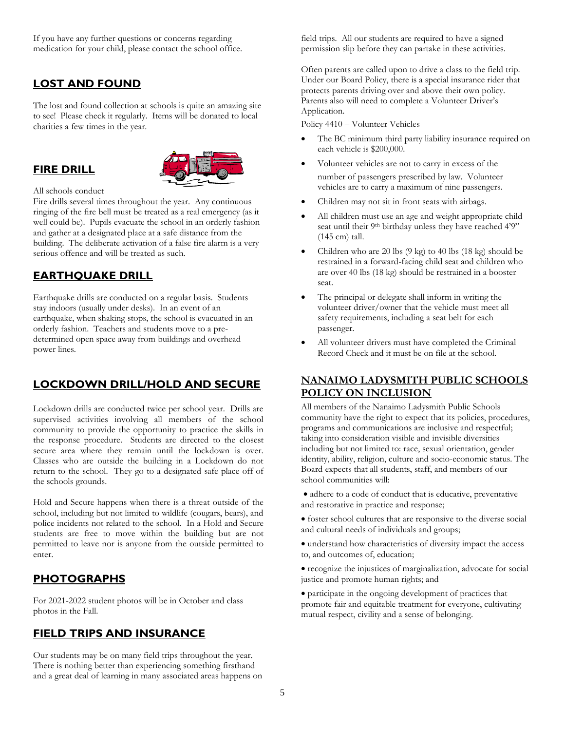If you have any further questions or concerns regarding medication for your child, please contact the school office.

# **LOST AND FOUND**

The lost and found collection at schools is quite an amazing site to see! Please check it regularly. Items will be donated to local charities a few times in the year.

### **FIRE DRILL**



#### All schools conduct

Fire drills several times throughout the year. Any continuous ringing of the fire bell must be treated as a real emergency (as it well could be). Pupils evacuate the school in an orderly fashion and gather at a designated place at a safe distance from the building. The deliberate activation of a false fire alarm is a very serious offence and will be treated as such.

#### **EARTHQUAKE DRILL**

Earthquake drills are conducted on a regular basis. Students stay indoors (usually under desks). In an event of an earthquake, when shaking stops, the school is evacuated in an orderly fashion. Teachers and students move to a predetermined open space away from buildings and overhead power lines.

### **LOCKDOWN DRILL/HOLD AND SECURE**

Lockdown drills are conducted twice per school year. Drills are supervised activities involving all members of the school community to provide the opportunity to practice the skills in the response procedure. Students are directed to the closest secure area where they remain until the lockdown is over. Classes who are outside the building in a Lockdown do not return to the school. They go to a designated safe place off of the schools grounds.

Hold and Secure happens when there is a threat outside of the school, including but not limited to wildlife (cougars, bears), and police incidents not related to the school. In a Hold and Secure students are free to move within the building but are not permitted to leave nor is anyone from the outside permitted to enter.

#### **PHOTOGRAPHS**

For 2021-2022 student photos will be in October and class photos in the Fall.

#### **FIELD TRIPS AND INSURANCE**

Our students may be on many field trips throughout the year. There is nothing better than experiencing something firsthand and a great deal of learning in many associated areas happens on field trips. All our students are required to have a signed permission slip before they can partake in these activities.

Often parents are called upon to drive a class to the field trip. Under our Board Policy, there is a special insurance rider that protects parents driving over and above their own policy. Parents also will need to complete a Volunteer Driver's Application.

Policy 4410 – Volunteer Vehicles

- The BC minimum third party liability insurance required on each vehicle is \$200,000.
- Volunteer vehicles are not to carry in excess of the number of passengers prescribed by law. Volunteer vehicles are to carry a maximum of nine passengers.
- Children may not sit in front seats with airbags.
- All children must use an age and weight appropriate child seat until their 9<sup>th</sup> birthday unless they have reached 4'9" (145 cm) tall.
- Children who are 20 lbs (9 kg) to 40 lbs (18 kg) should be restrained in a forward-facing child seat and children who are over 40 lbs (18 kg) should be restrained in a booster seat.
- The principal or delegate shall inform in writing the volunteer driver/owner that the vehicle must meet all safety requirements, including a seat belt for each passenger.
- All volunteer drivers must have completed the Criminal Record Check and it must be on file at the school.

#### **NANAIMO LADYSMITH PUBLIC SCHOOLS POLICY ON INCLUSION**

All members of the Nanaimo Ladysmith Public Schools community have the right to expect that its policies, procedures, programs and communications are inclusive and respectful; taking into consideration visible and invisible diversities including but not limited to: race, sexual orientation, gender identity, ability, religion, culture and socio-economic status. The Board expects that all students, staff, and members of our school communities will:

- adhere to a code of conduct that is educative, preventative and restorative in practice and response;
- foster school cultures that are responsive to the diverse social and cultural needs of individuals and groups;
- understand how characteristics of diversity impact the access to, and outcomes of, education;

• recognize the injustices of marginalization, advocate for social justice and promote human rights; and

• participate in the ongoing development of practices that promote fair and equitable treatment for everyone, cultivating mutual respect, civility and a sense of belonging.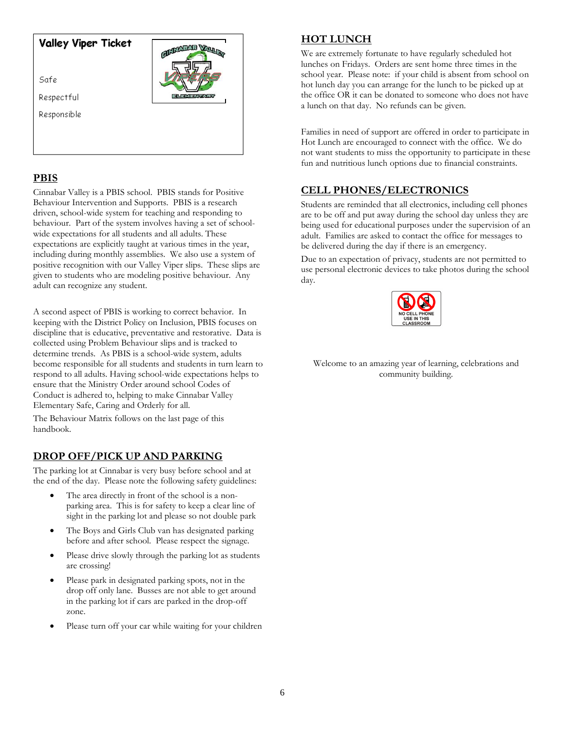#### **Valley Viper Ticket**

Safe

Respectful

Responsible

#### **PBIS**

Cinnabar Valley is a PBIS school. PBIS stands for Positive Behaviour Intervention and Supports. PBIS is a research driven, school-wide system for teaching and responding to behaviour. Part of the system involves having a set of schoolwide expectations for all students and all adults. These expectations are explicitly taught at various times in the year, including during monthly assemblies. We also use a system of positive recognition with our Valley Viper slips. These slips are given to students who are modeling positive behaviour. Any adult can recognize any student.

**ELECTRICIAN VALUE** 

A second aspect of PBIS is working to correct behavior. In keeping with the District Policy on Inclusion, PBIS focuses on discipline that is educative, preventative and restorative. Data is collected using Problem Behaviour slips and is tracked to determine trends. As PBIS is a school-wide system, adults become responsible for all students and students in turn learn to respond to all adults. Having school-wide expectations helps to ensure that the Ministry Order around school Codes of Conduct is adhered to, helping to make Cinnabar Valley Elementary Safe, Caring and Orderly for all.

The Behaviour Matrix follows on the last page of this handbook.

### **DROP OFF/PICK UP AND PARKING**

The parking lot at Cinnabar is very busy before school and at the end of the day. Please note the following safety guidelines:

- The area directly in front of the school is a nonparking area. This is for safety to keep a clear line of sight in the parking lot and please so not double park
- The Boys and Girls Club van has designated parking before and after school. Please respect the signage.
- Please drive slowly through the parking lot as students are crossing!
- Please park in designated parking spots, not in the drop off only lane. Busses are not able to get around in the parking lot if cars are parked in the drop-off zone.
- Please turn off your car while waiting for your children

#### **HOT LUNCH**

We are extremely fortunate to have regularly scheduled hot lunches on Fridays. Orders are sent home three times in the school year. Please note: if your child is absent from school on hot lunch day you can arrange for the lunch to be picked up at the office OR it can be donated to someone who does not have a lunch on that day. No refunds can be given.

Families in need of support are offered in order to participate in Hot Lunch are encouraged to connect with the office. We do not want students to miss the opportunity to participate in these fun and nutritious lunch options due to financial constraints.

### **CELL PHONES/ELECTRONICS**

Students are reminded that all electronics, including cell phones are to be off and put away during the school day unless they are being used for educational purposes under the supervision of an adult. Families are asked to contact the office for messages to be delivered during the day if there is an emergency.

Due to an expectation of privacy, students are not permitted to use personal electronic devices to take photos during the school day.



Welcome to an amazing year of learning, celebrations and community building.